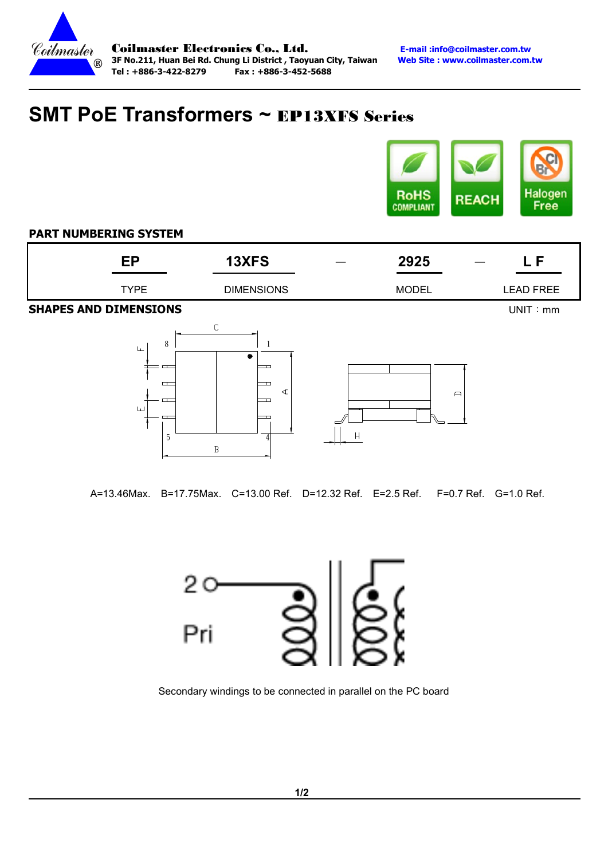

# SMT PoE Transformers ~ EP13XFS Series



### PART NUMBERING SYSTEM

| cD | 13XFS                     | 2925<br>__ |                  |
|----|---------------------------|------------|------------------|
|    | <b>DIMENSIONS</b><br>TYPE | MODEL      | <b>LEAD FREE</b> |

**SHAPES AND DIMENSIONS Example 20 and 20 and 20 and 20 and 20 and 20 and 20 and 20 and 20 and 20 and 20 and 20 and 20 and 20 and 20 and 20 and 20 and 20 and 20 and 20 and 20 and 20 and 20 and 20 and 20 and 20 and 20 and** 





A=13.46Max. B=17.75Max. C=13.00 Ref. D=12.32 Ref. E=2.5 Ref. F=0.7 Ref. G=1.0 Ref.



Secondary windings to be connected in parallel on the PC board